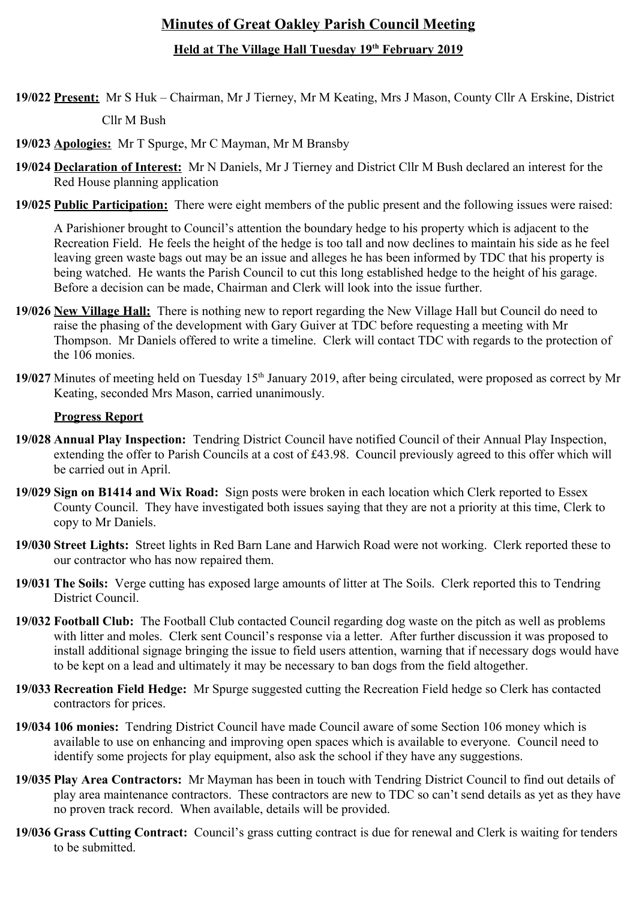# **Minutes of Great Oakley Parish Council Meeting**

# **Held at The Village Hall Tuesday 19th February 2019**

**19/022 Present:** Mr S Huk – Chairman, Mr J Tierney, Mr M Keating, Mrs J Mason, County Cllr A Erskine, District

Cllr M Bush

**19/023 Apologies:** Mr T Spurge, Mr C Mayman, Mr M Bransby

- **19/024 Declaration of Interest:** Mr N Daniels, Mr J Tierney and District Cllr M Bush declared an interest for the Red House planning application
- **19/025 Public Participation:** There were eight members of the public present and the following issues were raised:

A Parishioner brought to Council's attention the boundary hedge to his property which is adjacent to the Recreation Field. He feels the height of the hedge is too tall and now declines to maintain his side as he feel leaving green waste bags out may be an issue and alleges he has been informed by TDC that his property is being watched. He wants the Parish Council to cut this long established hedge to the height of his garage. Before a decision can be made, Chairman and Clerk will look into the issue further.

- **19/026 New Village Hall:** There is nothing new to report regarding the New Village Hall but Council do need to raise the phasing of the development with Gary Guiver at TDC before requesting a meeting with Mr Thompson. Mr Daniels offered to write a timeline. Clerk will contact TDC with regards to the protection of the 106 monies.
- 19/027 Minutes of meeting held on Tuesday 15<sup>th</sup> January 2019, after being circulated, were proposed as correct by Mr Keating, seconded Mrs Mason, carried unanimously.

## **Progress Report**

- **19/028 Annual Play Inspection:** Tendring District Council have notified Council of their Annual Play Inspection, extending the offer to Parish Councils at a cost of £43.98. Council previously agreed to this offer which will be carried out in April.
- **19/029 Sign on B1414 and Wix Road:** Sign posts were broken in each location which Clerk reported to Essex County Council. They have investigated both issues saying that they are not a priority at this time, Clerk to copy to Mr Daniels.
- **19/030 Street Lights:** Street lights in Red Barn Lane and Harwich Road were not working. Clerk reported these to our contractor who has now repaired them.
- **19/031 The Soils:** Verge cutting has exposed large amounts of litter at The Soils. Clerk reported this to Tendring District Council.
- **19/032 Football Club:** The Football Club contacted Council regarding dog waste on the pitch as well as problems with litter and moles. Clerk sent Council's response via a letter. After further discussion it was proposed to install additional signage bringing the issue to field users attention, warning that if necessary dogs would have to be kept on a lead and ultimately it may be necessary to ban dogs from the field altogether.
- **19/033 Recreation Field Hedge:** Mr Spurge suggested cutting the Recreation Field hedge so Clerk has contacted contractors for prices.
- **19/034 106 monies:** Tendring District Council have made Council aware of some Section 106 money which is available to use on enhancing and improving open spaces which is available to everyone. Council need to identify some projects for play equipment, also ask the school if they have any suggestions.
- **19/035 Play Area Contractors:** Mr Mayman has been in touch with Tendring District Council to find out details of play area maintenance contractors. These contractors are new to TDC so can't send details as yet as they have no proven track record. When available, details will be provided.
- **19/036 Grass Cutting Contract:** Council's grass cutting contract is due for renewal and Clerk is waiting for tenders to be submitted.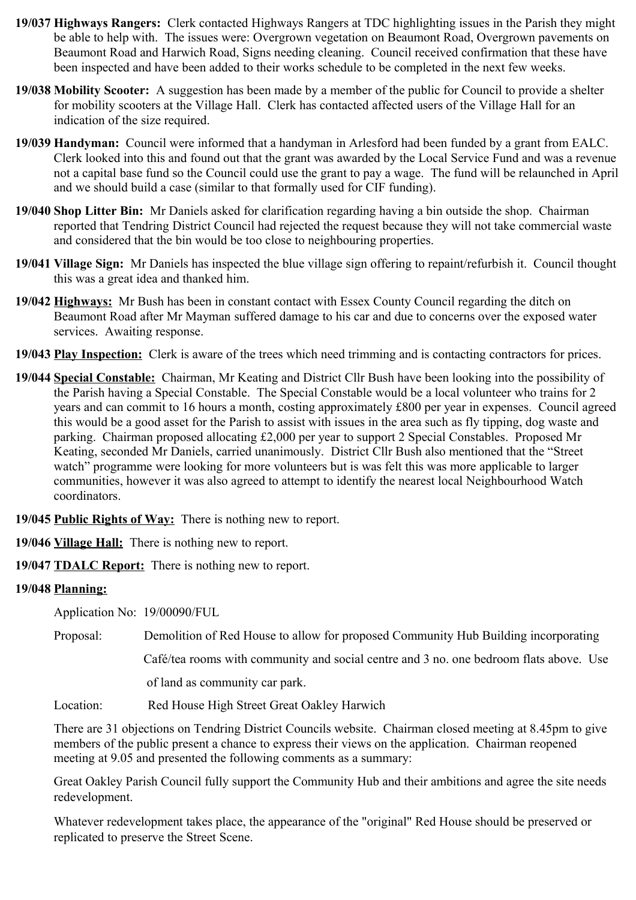- **19/037 Highways Rangers:** Clerk contacted Highways Rangers at TDC highlighting issues in the Parish they might be able to help with. The issues were: Overgrown vegetation on Beaumont Road, Overgrown pavements on Beaumont Road and Harwich Road, Signs needing cleaning. Council received confirmation that these have been inspected and have been added to their works schedule to be completed in the next few weeks.
- **19/038 Mobility Scooter:** A suggestion has been made by a member of the public for Council to provide a shelter for mobility scooters at the Village Hall. Clerk has contacted affected users of the Village Hall for an indication of the size required.
- **19/039 Handyman:** Council were informed that a handyman in Arlesford had been funded by a grant from EALC. Clerk looked into this and found out that the grant was awarded by the Local Service Fund and was a revenue not a capital base fund so the Council could use the grant to pay a wage. The fund will be relaunched in April and we should build a case (similar to that formally used for CIF funding).
- **19/040 Shop Litter Bin:** Mr Daniels asked for clarification regarding having a bin outside the shop. Chairman reported that Tendring District Council had rejected the request because they will not take commercial waste and considered that the bin would be too close to neighbouring properties.
- **19/041 Village Sign:** Mr Daniels has inspected the blue village sign offering to repaint/refurbish it. Council thought this was a great idea and thanked him.
- **19/042 Highways:** Mr Bush has been in constant contact with Essex County Council regarding the ditch on Beaumont Road after Mr Mayman suffered damage to his car and due to concerns over the exposed water services. Awaiting response.
- **19/043 Play Inspection:** Clerk is aware of the trees which need trimming and is contacting contractors for prices.
- **19/044 Special Constable:** Chairman, Mr Keating and District Cllr Bush have been looking into the possibility of the Parish having a Special Constable. The Special Constable would be a local volunteer who trains for 2 years and can commit to 16 hours a month, costing approximately £800 per year in expenses. Council agreed this would be a good asset for the Parish to assist with issues in the area such as fly tipping, dog waste and parking. Chairman proposed allocating £2,000 per year to support 2 Special Constables. Proposed Mr Keating, seconded Mr Daniels, carried unanimously. District Cllr Bush also mentioned that the "Street watch" programme were looking for more volunteers but is was felt this was more applicable to larger communities, however it was also agreed to attempt to identify the nearest local Neighbourhood Watch coordinators.

**19/045 Public Rights of Way:** There is nothing new to report.

**19/046 Village Hall:** There is nothing new to report.

**19/047 TDALC Report:** There is nothing new to report.

## **19/048 Planning:**

Application No: 19/00090/FUL

Proposal: Demolition of Red House to allow for proposed Community Hub Building incorporating

Café/tea rooms with community and social centre and 3 no. one bedroom flats above. Use

of land as community car park.

Location: Red House High Street Great Oakley Harwich

There are 31 objections on Tendring District Councils website. Chairman closed meeting at 8.45pm to give members of the public present a chance to express their views on the application. Chairman reopened meeting at 9.05 and presented the following comments as a summary:

Great Oakley Parish Council fully support the Community Hub and their ambitions and agree the site needs redevelopment.

Whatever redevelopment takes place, the appearance of the "original" Red House should be preserved or replicated to preserve the Street Scene.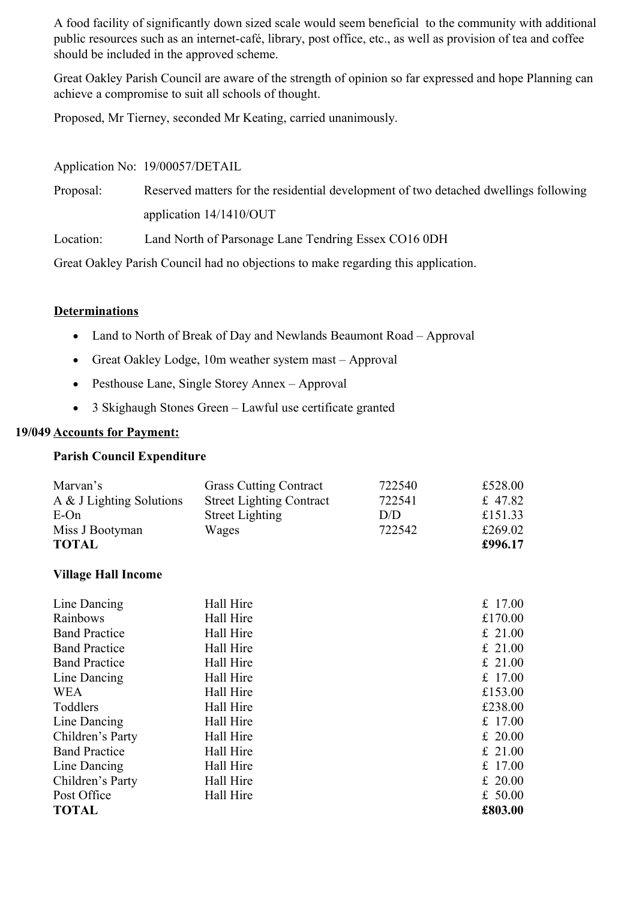A food facility of significantly down sized scale would seem beneficial to the community with additional public resources such as an internet-café, library, post office, etc., as well as provision of tea and coffee should be included in the approved scheme.

Great Oakley Parish Council are aware of the strength of opinion so far expressed and hope Planning can achieve a compromise to suit all schools of thought.

Proposed, Mr Tierney, seconded Mr Keating, carried unanimously.

|           | Application No: 19/00057/DETAIL                                                      |
|-----------|--------------------------------------------------------------------------------------|
| Proposal: | Reserved matters for the residential development of two detached dwellings following |
|           | application $14/1410/OUT$                                                            |
| Location: | Land North of Parsonage Lane Tendring Essex CO16 0DH                                 |
|           | Great Oakley Parish Council had no objections to make regarding this application.    |

## **Determinations**

- Land to North of Break of Day and Newlands Beaumont Road Approval
- Great Oakley Lodge, 10m weather system mast Approval
- Pesthouse Lane, Single Storey Annex Approval
- 3 Skighaugh Stones Green Lawful use certificate granted

## **19/049 Accounts for Payment:**

#### **Parish Council Expenditure**

| Marvan's                 | <b>Grass Cutting Contract</b>   | 722540 | £528.00 |
|--------------------------|---------------------------------|--------|---------|
| A & J Lighting Solutions | <b>Street Lighting Contract</b> | 722541 | £ 47.82 |
| $E$ -On                  | <b>Street Lighting</b>          | D/D    | £151.33 |
| Miss J Bootyman          | Wages                           | 722542 | £269.02 |
| <b>TOTAL</b>             |                                 |        | £996.17 |

## **Village Hall Income**

| Line Dancing         | Hall Hire | £ $17.00$ |
|----------------------|-----------|-----------|
| Rainbows             | Hall Hire | £170.00   |
| <b>Band Practice</b> | Hall Hire | £ 21.00   |
| <b>Band Practice</b> | Hall Hire | £ 21.00   |
| <b>Band Practice</b> | Hall Hire | £ 21.00   |
| Line Dancing         | Hall Hire | £ 17.00   |
| <b>WEA</b>           | Hall Hire | £153.00   |
| Toddlers             | Hall Hire | £238.00   |
| Line Dancing         | Hall Hire | £ 17.00   |
| Children's Party     | Hall Hire | £ 20.00   |
| <b>Band Practice</b> | Hall Hire | £ 21.00   |
| Line Dancing         | Hall Hire | £ $17.00$ |
| Children's Party     | Hall Hire | £ 20.00   |
| Post Office          | Hall Hire | £ $50.00$ |
| <b>TOTAL</b>         |           | £803.00   |
|                      |           |           |